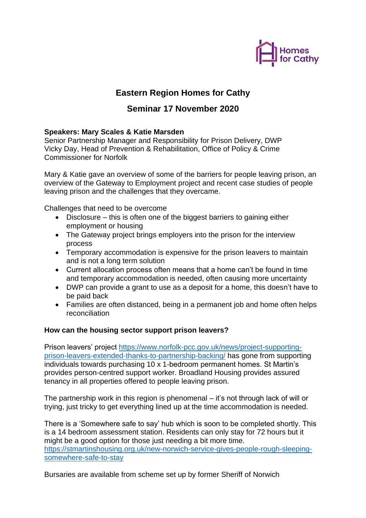

# **Eastern Region Homes for Cathy**

## **Seminar 17 November 2020**

### **Speakers: Mary Scales & Katie Marsden**

Senior Partnership Manager and Responsibility for Prison Delivery, DWP Vicky Day, Head of Prevention & Rehabilitation, Office of Policy & Crime Commissioner for Norfolk

Mary & Katie gave an overview of some of the barriers for people leaving prison, an overview of the Gateway to Employment project and recent case studies of people leaving prison and the challenges that they overcame.

Challenges that need to be overcome

- Disclosure this is often one of the biggest barriers to gaining either employment or housing
- The Gateway project brings employers into the prison for the interview process
- Temporary accommodation is expensive for the prison leavers to maintain and is not a long term solution
- Current allocation process often means that a home can't be found in time and temporary accommodation is needed, often causing more uncertainty
- DWP can provide a grant to use as a deposit for a home, this doesn't have to be paid back
- Families are often distanced, being in a permanent job and home often helps reconciliation

### **How can the housing sector support prison leavers?**

Prison leavers' project [https://www.norfolk-pcc.gov.uk/news/project-supporting](https://www.norfolk-pcc.gov.uk/news/project-supporting-prison-leavers-extended-thanks-to-partnership-backing/)[prison-leavers-extended-thanks-to-partnership-backing/](https://www.norfolk-pcc.gov.uk/news/project-supporting-prison-leavers-extended-thanks-to-partnership-backing/) has gone from supporting individuals towards purchasing 10 x 1-bedroom permanent homes. St Martin's provides person-centred support worker. Broadland Housing provides assured tenancy in all properties offered to people leaving prison.

The partnership work in this region is phenomenal – it's not through lack of will or trying, just tricky to get everything lined up at the time accommodation is needed.

There is a 'Somewhere safe to say' hub which is soon to be completed shortly. This is a 14 bedroom assessment station. Residents can only stay for 72 hours but it might be a good option for those just needing a bit more time. [https://stmartinshousing.org.uk/new-norwich-service-gives-people-rough-sleeping](https://stmartinshousing.org.uk/new-norwich-service-gives-people-rough-sleeping-somewhere-safe-to-stay)[somewhere-safe-to-stay](https://stmartinshousing.org.uk/new-norwich-service-gives-people-rough-sleeping-somewhere-safe-to-stay)

Bursaries are available from scheme set up by former Sheriff of Norwich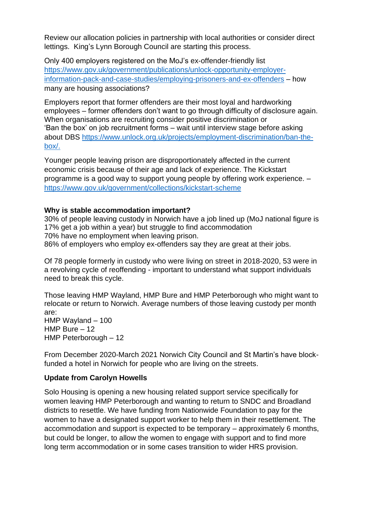Review our allocation policies in partnership with local authorities or consider direct lettings. King's Lynn Borough Council are starting this process.

Only 400 employers registered on the MoJ's ex-offender-friendly list [https://www.gov.uk/government/publications/unlock-opportunity-employer](https://www.gov.uk/government/publications/unlock-opportunity-employer-information-pack-and-case-studies/employing-prisoners-and-ex-offenders)[information-pack-and-case-studies/employing-prisoners-and-ex-offenders](https://www.gov.uk/government/publications/unlock-opportunity-employer-information-pack-and-case-studies/employing-prisoners-and-ex-offenders) – how many are housing associations?

Employers report that former offenders are their most loyal and hardworking employees – former offenders don't want to go through difficulty of disclosure again. When organisations are recruiting consider positive discrimination or 'Ban the box' on job recruitment forms – wait until interview stage before asking about DBS [https://www.unlock.org.uk/projects/employment-discrimination/ban-the](https://www.unlock.org.uk/projects/employment-discrimination/ban-the-box/)[box/.](https://www.unlock.org.uk/projects/employment-discrimination/ban-the-box/)

Younger people leaving prison are disproportionately affected in the current economic crisis because of their age and lack of experience. The Kickstart programme is a good way to support young people by offering work experience. – <https://www.gov.uk/government/collections/kickstart-scheme>

#### **Why is stable accommodation important?**

30% of people leaving custody in Norwich have a job lined up (MoJ national figure is 17% get a job within a year) but struggle to find accommodation 70% have no employment when leaving prison. 86% of employers who employ ex-offenders say they are great at their jobs.

Of 78 people formerly in custody who were living on street in 2018-2020, 53 were in a revolving cycle of reoffending - important to understand what support individuals need to break this cycle.

Those leaving HMP Wayland, HMP Bure and HMP Peterborough who might want to relocate or return to Norwich. Average numbers of those leaving custody per month are: HMP Wayland – 100 HMP Bure – 12

HMP Peterborough – 12

From December 2020-March 2021 Norwich City Council and St Martin's have blockfunded a hotel in Norwich for people who are living on the streets.

#### **Update from Carolyn Howells**

Solo Housing is opening a new housing related support service specifically for women leaving HMP Peterborough and wanting to return to SNDC and Broadland districts to resettle. We have funding from Nationwide Foundation to pay for the women to have a designated support worker to help them in their resettlement. The accommodation and support is expected to be temporary – approximately 6 months, but could be longer, to allow the women to engage with support and to find more long term accommodation or in some cases transition to wider HRS provision.